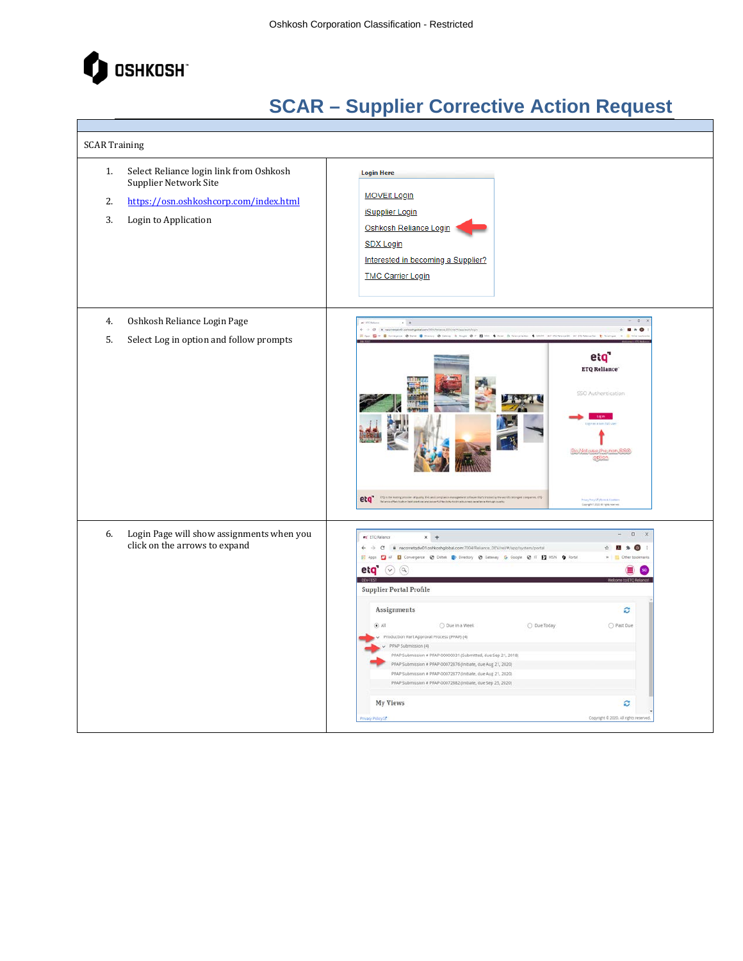

| <b>SCAR Training</b> |                                                                                                                                    |                                                                                                                                                                                                                                                                                                                                                                                                                                                                                                                                                                                                                                                                                                                                                                                                                                               |
|----------------------|------------------------------------------------------------------------------------------------------------------------------------|-----------------------------------------------------------------------------------------------------------------------------------------------------------------------------------------------------------------------------------------------------------------------------------------------------------------------------------------------------------------------------------------------------------------------------------------------------------------------------------------------------------------------------------------------------------------------------------------------------------------------------------------------------------------------------------------------------------------------------------------------------------------------------------------------------------------------------------------------|
| 1.<br>2.<br>3.       | Select Reliance login link from Oshkosh<br>Supplier Network Site<br>https://osn.oshkoshcorp.com/index.html<br>Login to Application | <b>Login Here</b><br><b>MOVEit Login</b><br><b>iSupplier Login</b><br>Oshkosh Reliance Login<br><b>SDX Login</b><br>Interested in becoming a Supplier?<br><b>TMC Carrier Login</b>                                                                                                                                                                                                                                                                                                                                                                                                                                                                                                                                                                                                                                                            |
| 4.<br>5.             | Oshkosh Reliance Login Page<br>Select Log in option and follow prompts                                                             | $+$<br>$ -$<br>$2*0$<br>Am ED III Elevanore O best E Denis O beste O buye O II ED the O fenerates O DOM at ITChinese at ITChinese E Statistic<br>etq'<br><b>ETQ Reliance</b><br>SSO Authentication<br>)o;Not use the non-SS!<br>etq" construction or produced the sign distance in the sign of<br><b>Franz Pompfort Chinese &amp; Ex-</b><br>Complete 2020 All Spiel House                                                                                                                                                                                                                                                                                                                                                                                                                                                                    |
| 6.                   | Login Page will show assignments when you<br>click on the arrows to expand                                                         | $\Box$<br>$\times$<br>et ETQ Relance<br>$x +$<br>← → C <sup>a</sup> nacorretgdw01.oshkoshglobal.com/7004/Reliance_DEV/rel/#/app/system/portal<br>$\mathbf{D}$<br>基<br>$\,$<br>H Apps E AF E Convergence @ Deltek E Directory @ Gateway G Google @ IT E MSN O Portal<br>eta $\omega$ $\omega$<br><b>Supplier Portal Profile</b><br>Assignments<br>ø<br>$\mathbb{I}$ All<br>O Past Due<br>O Due in a Week<br>O Due Today<br>Production Part Approval Process (PPAP) (4)<br>PPAP Submission (4)<br>PPAP Submission # PPAP-00000031 (Submitted, due Sep 21, 2018)<br>PPAP Submission # PPAP-00072876 (Initiate, due Aug 21, 2020)<br>PPAP Submission # PPAP-00072877 (Initiate, due Aug 21, 2020)<br>PPAP Submission # PPAP-00072882 (Initiate, due Sep 25, 2020)<br><b>My Views</b><br>c<br>Copyright @ 2020, All rights rese<br>vacy Policy [3] |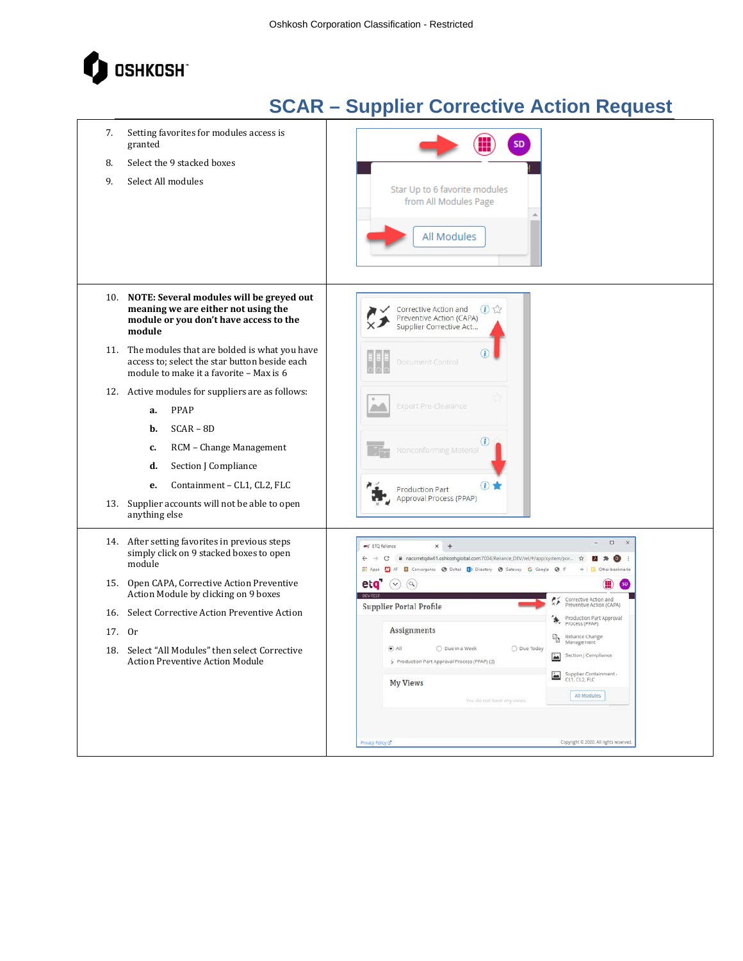

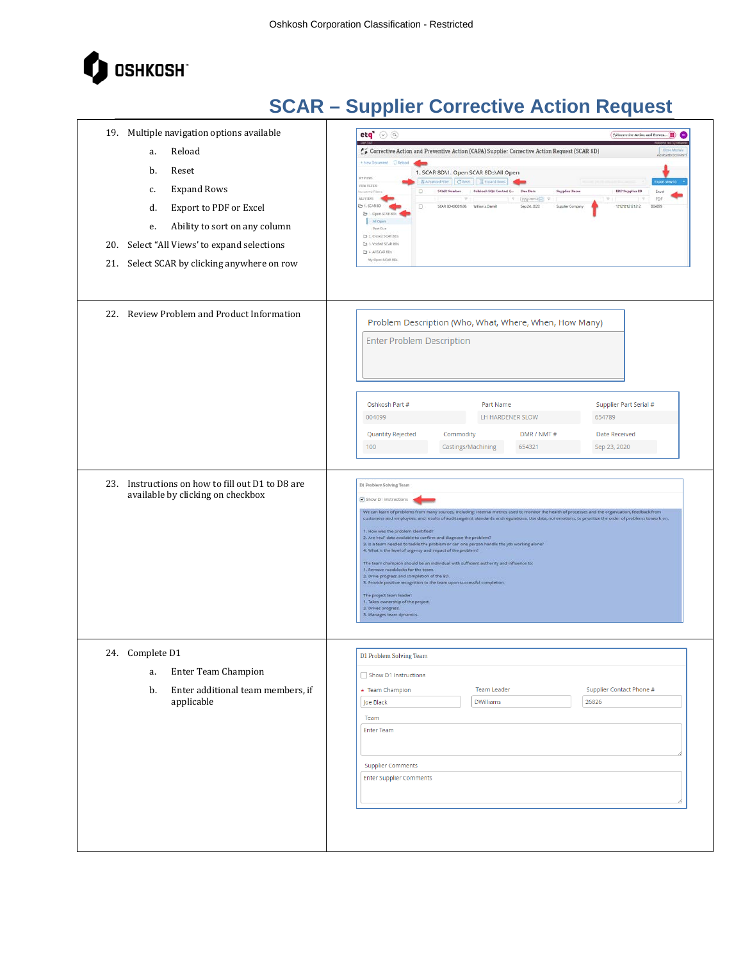

| 19. Multiple navigation options available<br>Reload<br>a.<br>b.<br>Reset<br><b>Expand Rows</b><br>c.<br>Export to PDF or Excel<br>d.<br>Ability to sort on any column<br>е.<br>20. Select "All Views' to expand selections<br>21. Select SCAR by clicking anywhere on row | $eta$ $\odot$ $\odot$<br>Corrective Action and Preventive Action (CAPA) Supplier Corrective Action Request (SCAR 8D)<br>Close Marial<br>AD ATLATED DOCUMENT<br>New Document Distance<br>1. SCAR 8D\1. Open SCAR 8Ds\All Open<br><b>IT VIEWS</b><br>Harvanced Fiter Citeset   III coand lines<br>WIN FEED!<br><b>SCAR Number</b><br>Oshkosh SQA Contact ( Dae Date<br>Supplier Name<br>ERP Supplier ID<br>o<br>crawed filters<br>Excel<br><b>MANYING</b><br>$\vert \cdot \nabla \vert$<br>PDF<br>$\mathcal{R}^{\mathcal{C}}$<br>(yyymmetri) v<br>ED 1. SCAR BD<br>SCAR ED-00001636 Williams Damelt<br>Sep 24, 2020<br>1212121212121212<br>004099<br>Ð<br>Supplier Company<br>Ca 1. Open SCAR 8DE<br>All Opins<br>Past Due<br>Ct 2. Octed SCAR 80s<br>Ca 3. Voided SCAR 806<br>C) 4 All SCAR RDs<br>My Open SCAR 8Ds                                                                                                                                                                                                     |
|---------------------------------------------------------------------------------------------------------------------------------------------------------------------------------------------------------------------------------------------------------------------------|------------------------------------------------------------------------------------------------------------------------------------------------------------------------------------------------------------------------------------------------------------------------------------------------------------------------------------------------------------------------------------------------------------------------------------------------------------------------------------------------------------------------------------------------------------------------------------------------------------------------------------------------------------------------------------------------------------------------------------------------------------------------------------------------------------------------------------------------------------------------------------------------------------------------------------------------------------------------------------------------------------------------|
| 22. Review Problem and Product Information                                                                                                                                                                                                                                | Problem Description (Who, What, Where, When, How Many)<br><b>Enter Problem Description</b><br>Oshkosh Part #<br>Part Name<br>Supplier Part Serial #<br>LH HARDENER SLOW<br>654789<br>004099<br>Quantity Rejected<br>Commodity<br><b>Date Received</b><br>DMR / NMT#<br>Castings/Machining<br>100<br>654321<br>Sep 23, 2020                                                                                                                                                                                                                                                                                                                                                                                                                                                                                                                                                                                                                                                                                             |
| 23. Instructions on how to fill out D1 to D8 are<br>available by clicking on checkbox                                                                                                                                                                                     | D1 Problem Solving Team<br>Show D1 Instructions<br>We can learn of problems from many sources, including: internal metrics used to monitor the health of processes and the organization, feedback from<br>customers and employees, and results of audits against standards and regulations. Use data, not emotions, to prioritize the order of problems to work on.<br>1. How was the problem identified?<br>2. Are real data available to confirm and diagnose the problem?<br>3. Is a team needed to tackle the problem or can one person handle the job working alone?<br>4. What is the level of urgency and impact of the problem?<br>The team champion should be an individual with sufficient authority and influence to:<br>1. Remove roadblocks for the team,<br>2. Drive progress and completion of the 8D.<br>3. Provide positive recognition to the team upon successful completion.<br>The project team leader:<br>1. Takes ownership of the project.<br>2. Drives progress.<br>3. Manages team dynamics. |
| 24. Complete D1<br>Enter Team Champion<br>a.<br>Enter additional team members, if<br>b.<br>applicable                                                                                                                                                                     | D1 Problem Solving Team<br>Show D1 Instructions<br>Supplier Contact Phone #<br>* Team Champion<br><b>Team Leader</b><br><b>DWilliams</b><br>26826<br>Joe Black<br>Team<br><b>Enter Team</b><br><b>Supplier Comments</b><br><b>Enter Supplier Comments</b>                                                                                                                                                                                                                                                                                                                                                                                                                                                                                                                                                                                                                                                                                                                                                              |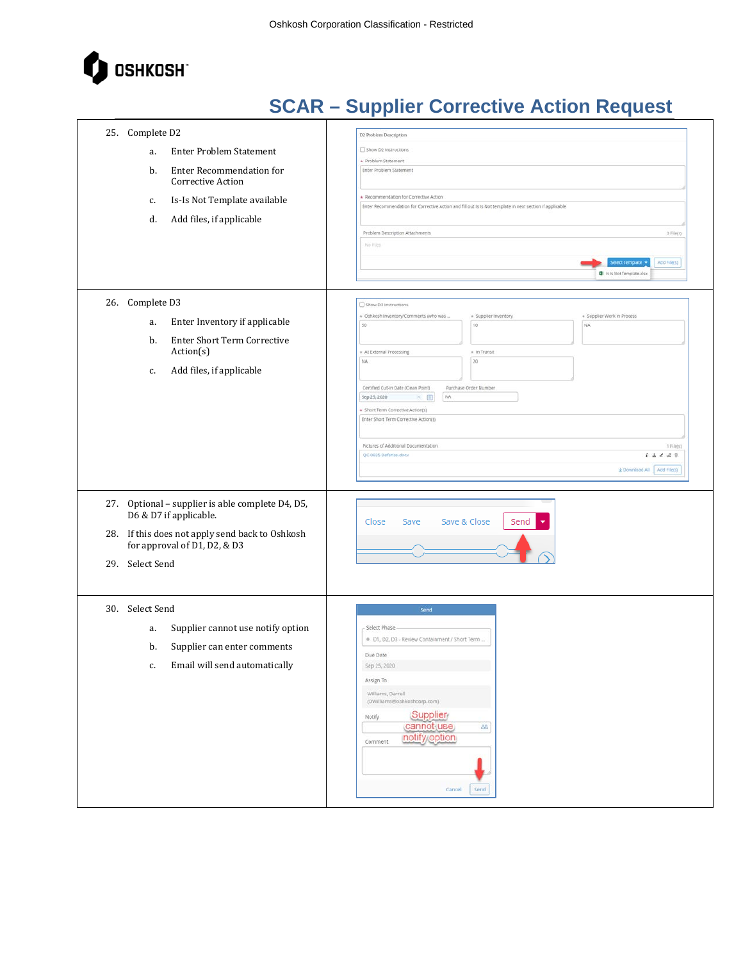

| 25. Complete D2<br><b>Enter Problem Statement</b><br>a.<br>Enter Recommendation for<br>b.<br>Corrective Action<br>Is-Is Not Template available<br>c.<br>d.<br>Add files, if applicable | D2 Problem Description<br>Show D2 Instructions<br>* Problem Statement<br>Enter Problem Statement<br>* Recommendation for Corrective Action<br>Enter Recommendation for Corrective Action and fill out is is Not template in next section if applicable<br>Problem Description Attachments<br>O File(s)<br>No Files                                                                                                                                                                                           |
|----------------------------------------------------------------------------------------------------------------------------------------------------------------------------------------|--------------------------------------------------------------------------------------------------------------------------------------------------------------------------------------------------------------------------------------------------------------------------------------------------------------------------------------------------------------------------------------------------------------------------------------------------------------------------------------------------------------|
|                                                                                                                                                                                        | Add File(s)<br>elect Template<br><b>QI</b> is is Not Template.xisx                                                                                                                                                                                                                                                                                                                                                                                                                                           |
| 26. Complete D3<br>Enter Inventory if applicable<br>a.<br>Enter Short Term Corrective<br>b.<br>Action(s)<br>Add files, if applicable<br>c.                                             | Show D3 Instructions<br>+ Oshkosh Inventory/Comments (who was<br>+ Supplier Inventory<br>· Supplier Work in Process<br>10<br>50<br>rak<br>* At External Processing<br>* In Transit<br>20<br>NA<br>Certified Cut-In Date (Clean Point)<br>Purchase Order Number<br>NA<br>$\times$ 0<br>Sep 25, 2020<br>+ Short Term Corrective Action(s)<br>Enter Short Term Corrective Action(5)<br>Pictures of Additional Documentation<br>1 File(s)<br>QC-0825 Defense.docx<br>$i \pm 2$ 8.8<br>& Download All Add File(s) |
| 27. Optional - supplier is able complete D4, D5,<br>D6 & D7 if applicable.<br>28. If this does not apply send back to Oshkosh<br>for approval of D1, D2, & D3<br>29. Select Send       | Save & Close<br>Close<br>Send<br>Save                                                                                                                                                                                                                                                                                                                                                                                                                                                                        |
| 30. Select Send<br>Supplier cannot use notify option<br>a.<br>b.<br>Supplier can enter comments<br>Email will send automatically<br>c.                                                 | Send<br>Select Phase<br>· D1, D2, D3 - Review Containment / Short Term<br>Due Date<br>Sep 25, 2020<br>Assign To<br>Williams, Darrell<br>(DWilliams@oshkoshcorp.com)<br>Supplier<br>Notify<br>cannot use<br>88<br>notify option<br>Comment<br>Cancel<br>Send                                                                                                                                                                                                                                                  |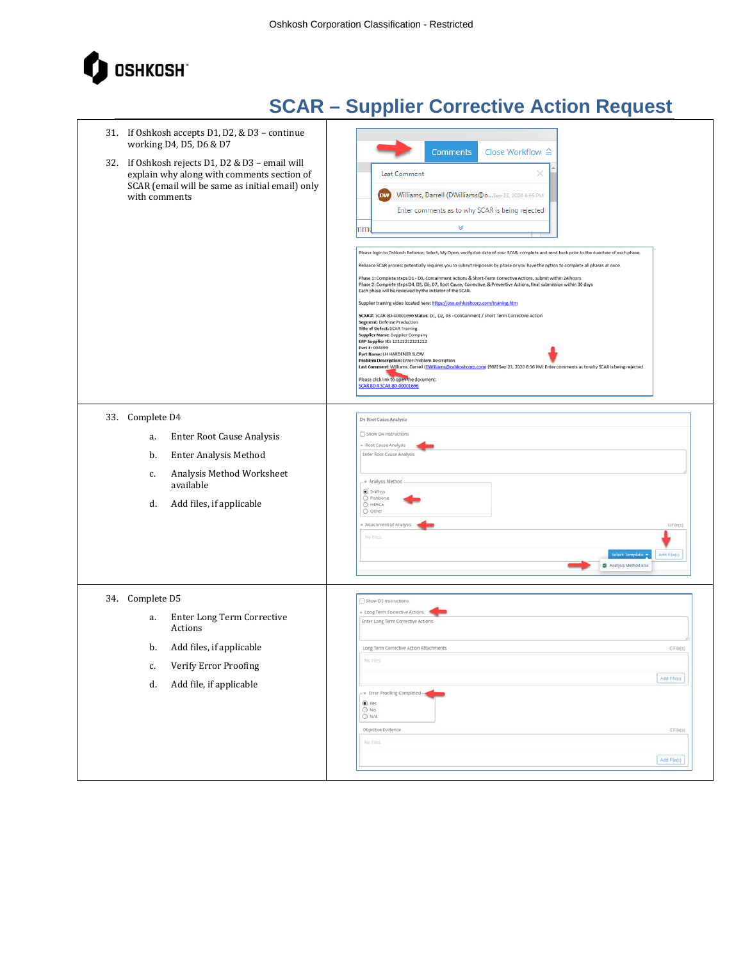

| 31. If Oshkosh accepts D1, D2, & D3 - continue<br>working D4, D5, D6 & D7                                                                                                  | Close Workflow $\triangle$<br><b>Comments</b>                                                                                                                                                                                                                                                                                                                                                                                                                                                                                                                                                                                                                                                                                                                                                                                                                                                                                                                                                                                                                                                                                                                                                                                                                                                                                                                                                      |
|----------------------------------------------------------------------------------------------------------------------------------------------------------------------------|----------------------------------------------------------------------------------------------------------------------------------------------------------------------------------------------------------------------------------------------------------------------------------------------------------------------------------------------------------------------------------------------------------------------------------------------------------------------------------------------------------------------------------------------------------------------------------------------------------------------------------------------------------------------------------------------------------------------------------------------------------------------------------------------------------------------------------------------------------------------------------------------------------------------------------------------------------------------------------------------------------------------------------------------------------------------------------------------------------------------------------------------------------------------------------------------------------------------------------------------------------------------------------------------------------------------------------------------------------------------------------------------------|
| 32. If Oshkosh rejects D1, D2 & D3 - email will<br>explain why along with comments section of<br>SCAR (email will be same as initial email) only<br>with comments          | Last Comment<br>×<br>Williams, Darrell (DWilliams@oSep 23, 2020 6:56 PM<br><b>DW</b><br>Enter comments as to why SCAR is being rejected<br>v<br>mmı<br>Please login to Oshkosh Reliance, Select, My Open, verify due date of your SCAR, complete and send back prior to the due date of each phase.<br>Reliance SCAR process potentially requires you to submit responses by phase or you have the option to complete all phases at once.<br>Phase 1: Complete steps D1 - D3, Containment Actions & Short-Term Corrective Actions, submit within 24 hours<br>Phase 2: Complete steps D4, D5, D6, D7, Root Cause, Corrective, & Preventive Actions, final submission within 30 days<br>Each phase will be reviewed by the initiator of the SCAR.<br>Supplier training video located here: https://osn.oshkoshcorp.com/training.htm<br>SCAR #: SCAR 8D-00001696 Status: D1, D2, D3 - Containment / Short Term Corrective Action<br>Segment: Defense Production<br>Title of Defect: SCAR Training<br>Supplier Name: Supplier Company<br>ERP Supplier ID: 12121212121212<br>Part #: 004099<br>Part Name: LH HARDENER SLOW<br>Problem Description: Enter Problem Description<br>Last Comment: Williams, Darrell (DWilliams@oshkoshcorp.com) (968) Sep 23, 2020 6:56 PM: Enter comments as to why SCAR is being rejected<br>Please click link to open the document:<br><b>SCAR 8D # SCAR 8D-00001696</b> |
| 33. Complete D4<br>Enter Root Cause Analysis<br>a.<br><b>Enter Analysis Method</b><br>b.<br>Analysis Method Worksheet<br>c.<br>available<br>Add files, if applicable<br>d. | D4 Root Cause Analysis<br>Show D4 Instructions<br>+ Root Cause Analysis<br>Enter Root Cause Analysis<br>- * Analysis Method<br>$•$ 5-Whys<br>O Fishbone<br>O HERCA<br>O Other<br>* Attachment of Analysis<br>0 File(s)<br>No Files<br>Select Template<br>Add File(s)<br><b>QI</b> Analysis Method.xlsx                                                                                                                                                                                                                                                                                                                                                                                                                                                                                                                                                                                                                                                                                                                                                                                                                                                                                                                                                                                                                                                                                             |
| 34. Complete D5<br>Enter Long Term Corrective<br>a.<br>Actions<br>Add files, if applicable<br>b.<br>Verify Error Proofing<br>c.<br>Add file, if applicable<br>d.           | Show D5 Instructions<br>+ Long Term Corrective Actions<br>Enter Long Term Corrective Actions<br>Long Term Corrective Action Attachments<br>0 File(s)<br>No Files<br>Add File(s)<br>- * Error Proofing Completed<br>$•$ Yes<br>O No<br>O N/A<br>Objective Evidence<br>0 File(s)<br>No Files<br>Add File(s)                                                                                                                                                                                                                                                                                                                                                                                                                                                                                                                                                                                                                                                                                                                                                                                                                                                                                                                                                                                                                                                                                          |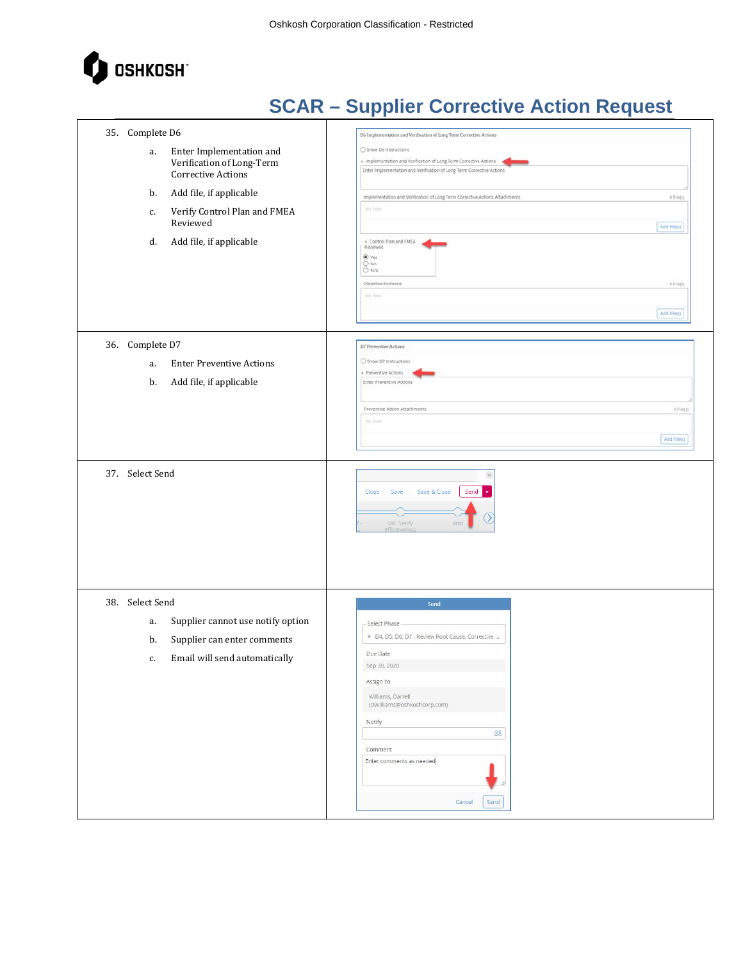

| 35. Complete D6<br>Enter Implementation and<br>a.<br>Verification of Long-Term<br>Corrective Actions<br>Add file, if applicable<br>b.<br>Verify Control Plan and FMEA<br>с.<br>Reviewed<br>Add file, if applicable<br>d. | D6 Implementation and Verification of Long Term Corrective Actions<br>Show D6 Instructions<br>* Implementation and Verification of Long Term Corrective Actions<br>Enter Implementation and Verification of Long Term Corrective Actions<br>$0$ File(s)<br>Implementation and Verification of Long Term Corrective Actions Attachments<br>No filles<br>Add File(s)<br>+ Control Plan and FMEA<br>Reviewed<br>O Yes<br>$\bigcirc_{N\!/\!h}^{\sf No}$<br>Objective Evidence<br>0 File(s)<br>No Files |
|--------------------------------------------------------------------------------------------------------------------------------------------------------------------------------------------------------------------------|----------------------------------------------------------------------------------------------------------------------------------------------------------------------------------------------------------------------------------------------------------------------------------------------------------------------------------------------------------------------------------------------------------------------------------------------------------------------------------------------------|
| 36. Complete D7<br><b>Enter Preventive Actions</b><br>a.<br>Add file, if applicable<br>b.                                                                                                                                | Add File(s)<br>D7 Preventive Actions<br>Show D7 Instructions<br>* Preventive Actions<br>Enter Preventive Actions                                                                                                                                                                                                                                                                                                                                                                                   |
|                                                                                                                                                                                                                          | Preventive Action Attachments<br>0 File(s)<br>No Films<br>Add File(s)                                                                                                                                                                                                                                                                                                                                                                                                                              |
| 37. Select Send                                                                                                                                                                                                          | $\preccurlyeq$<br>Save & Close<br>Send<br>Save<br>Close<br>٠<br>↘<br>D8 - Verify<br><b>Effective</b>                                                                                                                                                                                                                                                                                                                                                                                               |
| 38. Select Send<br>Supplier cannot use notify option<br>a.<br>Supplier can enter comments<br>b.<br>Email will send automatically<br>c.                                                                                   | Send<br>Select Phase<br>· D4, D5, D6, D7 - Review Root Cause, Corrective<br>Due Date<br>Sep 30, 2020<br>Assign To<br>Williams, Darrell<br>(DWilliams@oshkoshcorp.com)<br>Notify<br>88<br>Comment<br>Enter comments as needed<br>Cancel<br>Send                                                                                                                                                                                                                                                     |